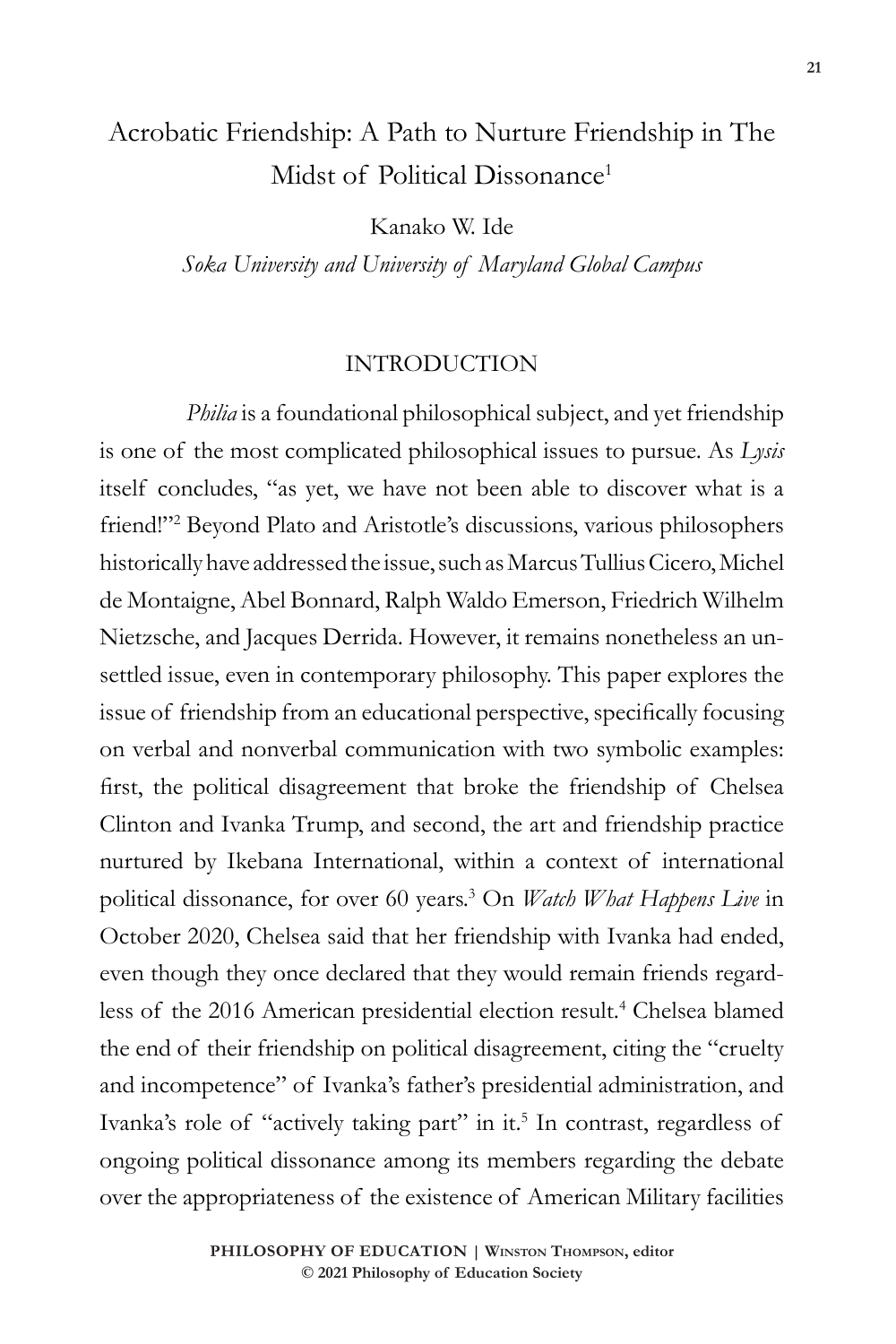# Acrobatic Friendship: A Path to Nurture Friendship in The Midst of Political Dissonance<sup>1</sup>

Kanako W. Ide

*Soka University and University of Maryland Global Campus*

### INTRODUCTION

*Philia* is a foundational philosophical subject, and yet friendship is one of the most complicated philosophical issues to pursue. As *Lysis* itself concludes, "as yet, we have not been able to discover what is a friend!"<sup>2</sup> Beyond Plato and Aristotle's discussions, various philosophers historically have addressed the issue, such as Marcus Tullius Cicero, Michel de Montaigne, Abel Bonnard, Ralph Waldo Emerson, Friedrich Wilhelm Nietzsche, and Jacques Derrida. However, it remains nonetheless an unsettled issue, even in contemporary philosophy. This paper explores the issue of friendship from an educational perspective, specifically focusing on verbal and nonverbal communication with two symbolic examples: first, the political disagreement that broke the friendship of Chelsea Clinton and Ivanka Trump, and second, the art and friendship practice nurtured by Ikebana International, within a context of international political dissonance, for over 60 years.3 On *Watch What Happens Live* in October 2020, Chelsea said that her friendship with Ivanka had ended, even though they once declared that they would remain friends regardless of the 2016 American presidential election result.<sup>4</sup> Chelsea blamed the end of their friendship on political disagreement, citing the "cruelty and incompetence" of Ivanka's father's presidential administration, and Ivanka's role of "actively taking part" in it.<sup>5</sup> In contrast, regardless of ongoing political dissonance among its members regarding the debate over the appropriateness of the existence of American Military facilities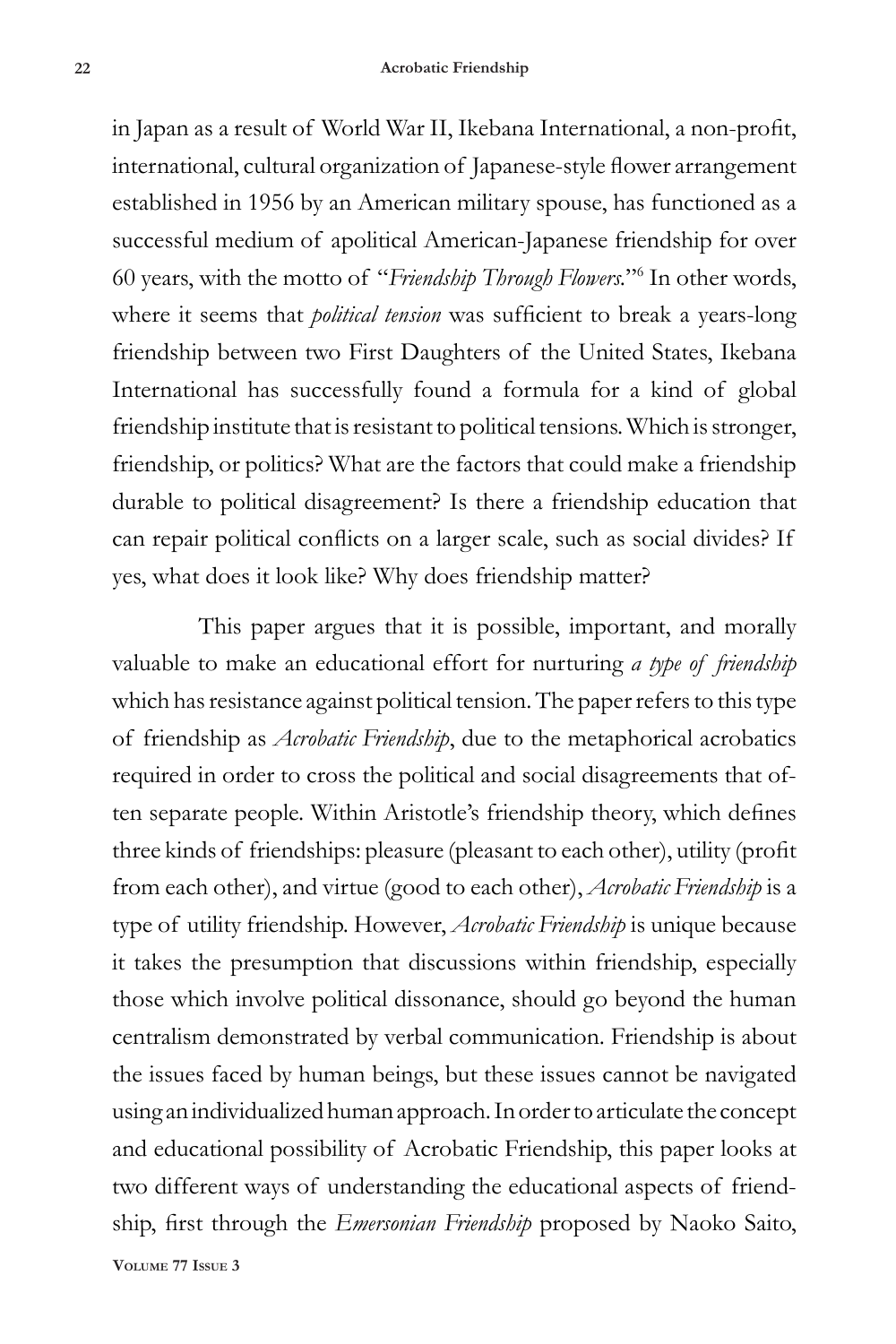in Japan as a result of World War II, Ikebana International, a non-profit, international, cultural organization of Japanese-style flower arrangement established in 1956 by an American military spouse, has functioned as a successful medium of apolitical American-Japanese friendship for over 60 years, with the motto of "*Friendship Through Flowers.*"6 In other words, where it seems that *political tension* was sufficient to break a years-long friendship between two First Daughters of the United States, Ikebana International has successfully found a formula for a kind of global friendship institute that is resistant to political tensions. Which is stronger, friendship, or politics? What are the factors that could make a friendship durable to political disagreement? Is there a friendship education that can repair political conflicts on a larger scale, such as social divides? If yes, what does it look like? Why does friendship matter?

This paper argues that it is possible, important, and morally valuable to make an educational effort for nurturing *a type of friendship* which has resistance against political tension. The paper refers to this type of friendship as *Acrobatic Friendship*, due to the metaphorical acrobatics required in order to cross the political and social disagreements that often separate people. Within Aristotle's friendship theory, which defines three kinds of friendships: pleasure (pleasant to each other), utility (profit from each other), and virtue (good to each other), *Acrobatic Friendship* is a type of utility friendship. However, *Acrobatic Friendship* is unique because it takes the presumption that discussions within friendship, especially those which involve political dissonance, should go beyond the human centralism demonstrated by verbal communication. Friendship is about the issues faced by human beings, but these issues cannot be navigated using an individualized human approach. In order to articulate the concept and educational possibility of Acrobatic Friendship, this paper looks at two different ways of understanding the educational aspects of friendship, first through the *Emersonian Friendship* proposed by Naoko Saito,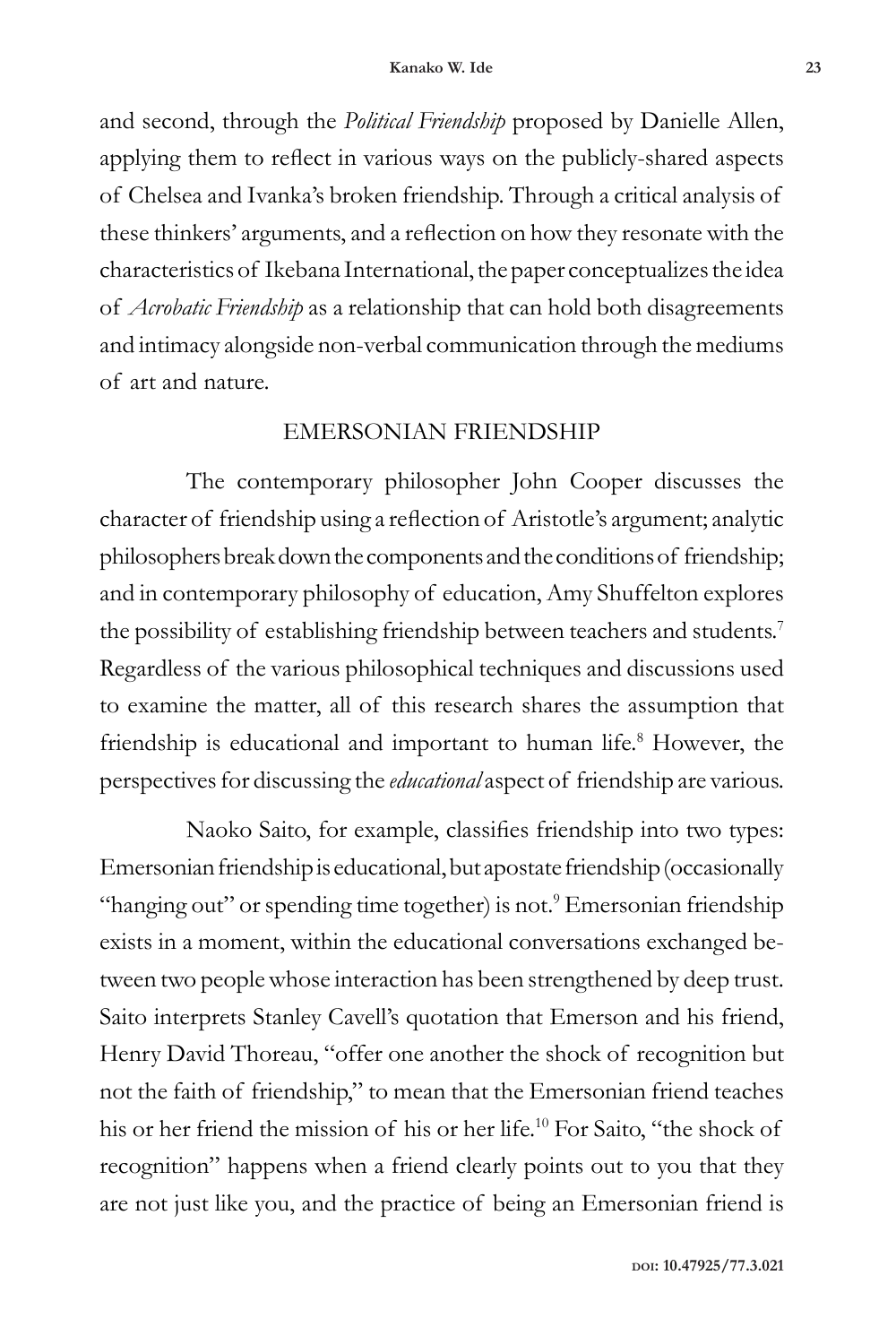and second, through the *Political Friendship* proposed by Danielle Allen, applying them to reflect in various ways on the publicly-shared aspects of Chelsea and Ivanka's broken friendship. Through a critical analysis of these thinkers' arguments, and a reflection on how they resonate with the characteristics of Ikebana International, the paper conceptualizes the idea of *Acrobatic Friendship* as a relationship that can hold both disagreements and intimacy alongside non-verbal communication through the mediums of art and nature.

#### EMERSONIAN FRIENDSHIP

The contemporary philosopher John Cooper discusses the character of friendship using a reflection of Aristotle's argument; analytic philosophers break down the components and the conditions of friendship; and in contemporary philosophy of education, Amy Shuffelton explores the possibility of establishing friendship between teachers and students.<sup>7</sup> Regardless of the various philosophical techniques and discussions used to examine the matter, all of this research shares the assumption that friendship is educational and important to human life.<sup>8</sup> However, the perspectives for discussing the *educational* aspect of friendship are various.

Naoko Saito, for example, classifies friendship into two types: Emersonian friendship is educational, but apostate friendship (occasionally "hanging out" or spending time together) is not.<sup>9</sup> Emersonian friendship exists in a moment, within the educational conversations exchanged between two people whose interaction has been strengthened by deep trust. Saito interprets Stanley Cavell's quotation that Emerson and his friend, Henry David Thoreau, "offer one another the shock of recognition but not the faith of friendship," to mean that the Emersonian friend teaches his or her friend the mission of his or her life.<sup>10</sup> For Saito, "the shock of recognition" happens when a friend clearly points out to you that they are not just like you, and the practice of being an Emersonian friend is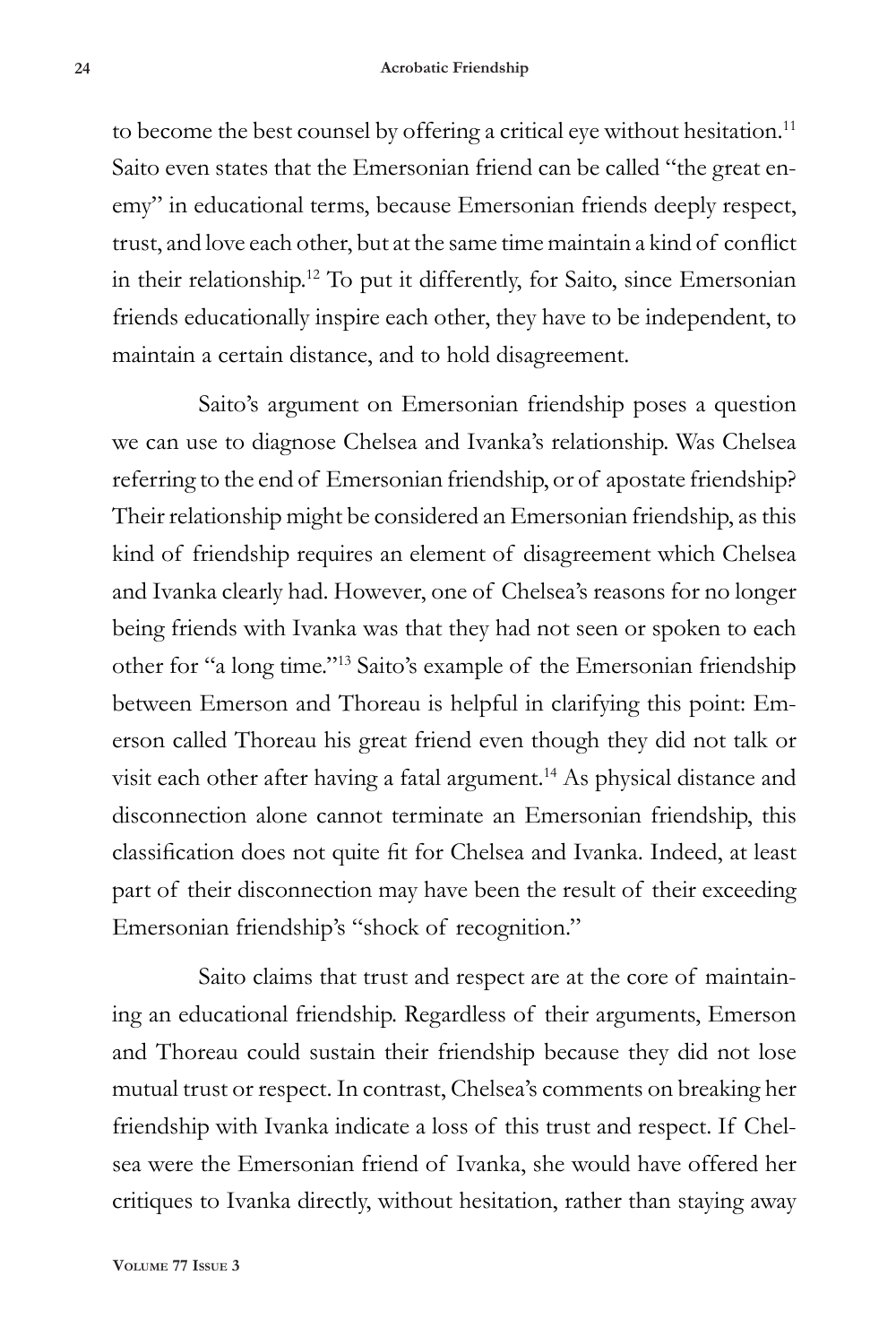to become the best counsel by offering a critical eye without hesitation.<sup>11</sup> Saito even states that the Emersonian friend can be called "the great enemy" in educational terms, because Emersonian friends deeply respect, trust, and love each other, but at the same time maintain a kind of conflict in their relationship.12 To put it differently, for Saito, since Emersonian friends educationally inspire each other, they have to be independent, to maintain a certain distance, and to hold disagreement.

Saito's argument on Emersonian friendship poses a question we can use to diagnose Chelsea and Ivanka's relationship. Was Chelsea referring to the end of Emersonian friendship, or of apostate friendship? Their relationship might be considered an Emersonian friendship, as this kind of friendship requires an element of disagreement which Chelsea and Ivanka clearly had. However, one of Chelsea's reasons for no longer being friends with Ivanka was that they had not seen or spoken to each other for "a long time."13 Saito's example of the Emersonian friendship between Emerson and Thoreau is helpful in clarifying this point: Emerson called Thoreau his great friend even though they did not talk or visit each other after having a fatal argument.<sup>14</sup> As physical distance and disconnection alone cannot terminate an Emersonian friendship, this classification does not quite fit for Chelsea and Ivanka. Indeed, at least part of their disconnection may have been the result of their exceeding Emersonian friendship's "shock of recognition."

Saito claims that trust and respect are at the core of maintaining an educational friendship. Regardless of their arguments, Emerson and Thoreau could sustain their friendship because they did not lose mutual trust or respect. In contrast, Chelsea's comments on breaking her friendship with Ivanka indicate a loss of this trust and respect. If Chelsea were the Emersonian friend of Ivanka, she would have offered her critiques to Ivanka directly, without hesitation, rather than staying away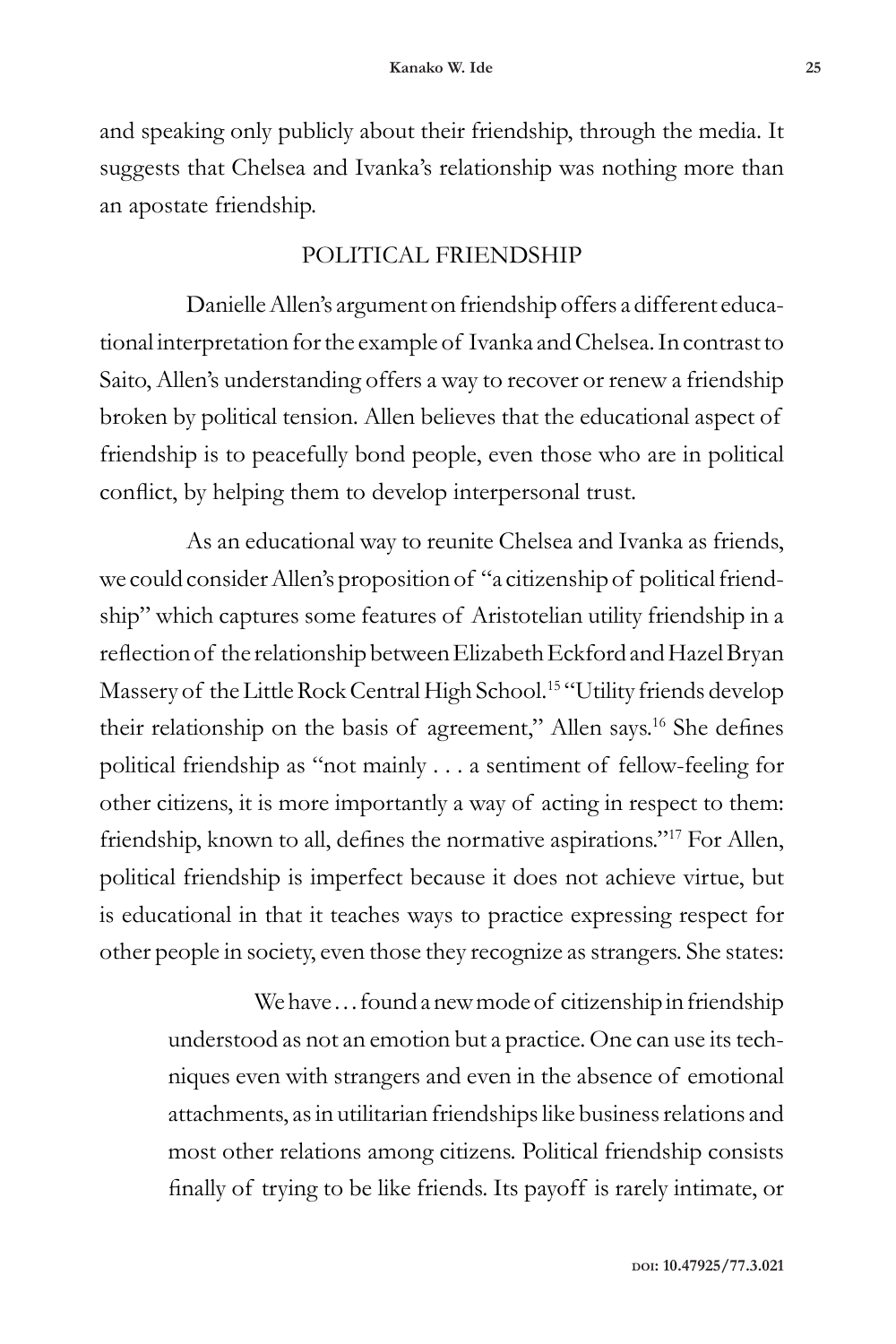and speaking only publicly about their friendship, through the media. It suggests that Chelsea and Ivanka's relationship was nothing more than an apostate friendship.

# POLITICAL FRIENDSHIP

Danielle Allen's argument on friendship offers a different educational interpretation for the example of Ivanka and Chelsea. In contrast to Saito, Allen's understanding offers a way to recover or renew a friendship broken by political tension. Allen believes that the educational aspect of friendship is to peacefully bond people, even those who are in political conflict, by helping them to develop interpersonal trust.

As an educational way to reunite Chelsea and Ivanka as friends, we could consider Allen's proposition of "a citizenship of political friendship" which captures some features of Aristotelian utility friendship in a reflection of the relationship between Elizabeth Eckford and Hazel Bryan Massery of the Little Rock Central High School.<sup>15</sup> "Utility friends develop their relationship on the basis of agreement," Allen says.16 She defines political friendship as "not mainly . . . a sentiment of fellow-feeling for other citizens, it is more importantly a way of acting in respect to them: friendship, known to all, defines the normative aspirations."17 For Allen, political friendship is imperfect because it does not achieve virtue, but is educational in that it teaches ways to practice expressing respect for other people in society, even those they recognize as strangers. She states:

We have ... found a new mode of citizenship in friendship understood as not an emotion but a practice. One can use its techniques even with strangers and even in the absence of emotional attachments, as in utilitarian friendships like business relations and most other relations among citizens. Political friendship consists finally of trying to be like friends. Its payoff is rarely intimate, or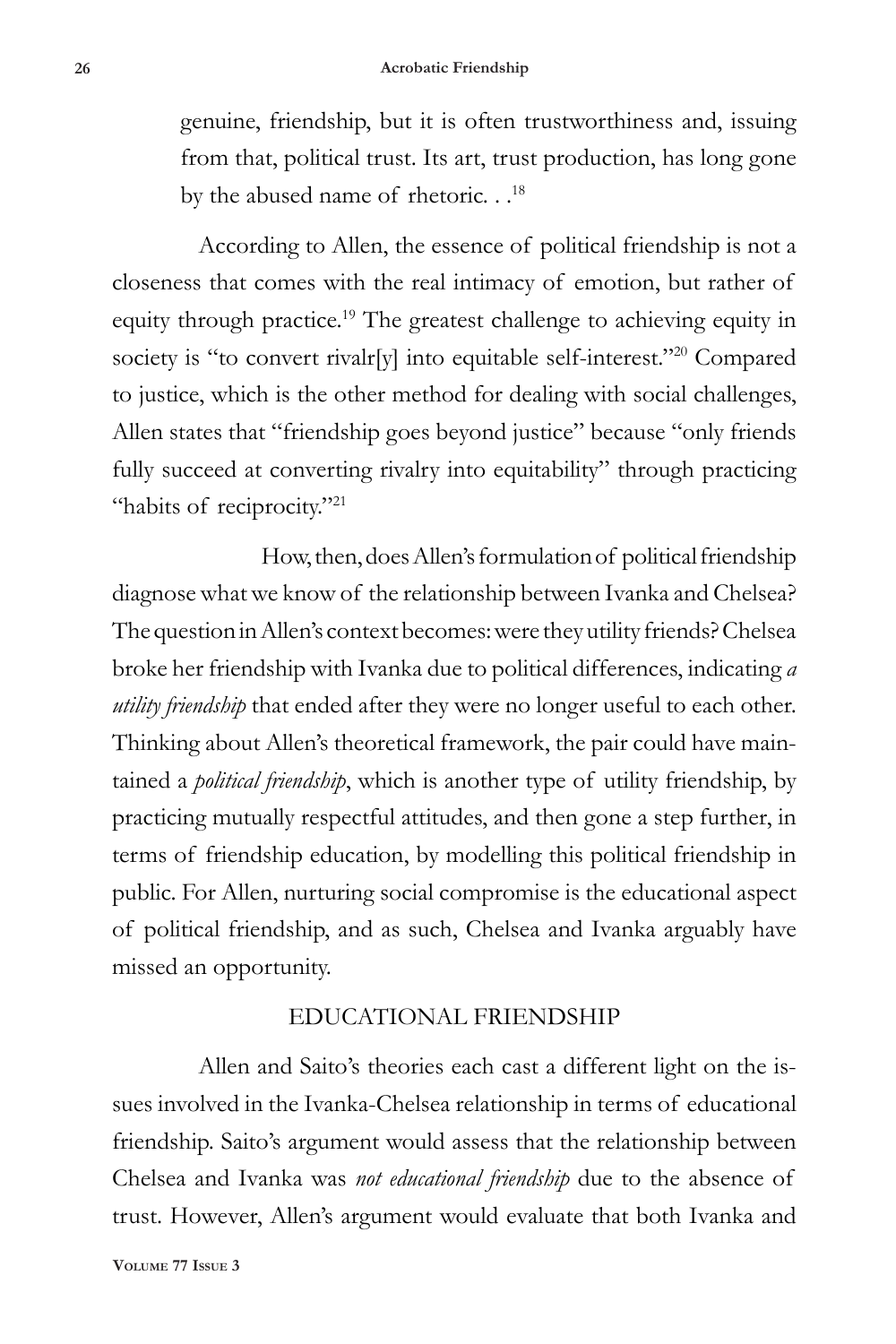genuine, friendship, but it is often trustworthiness and, issuing from that, political trust. Its art, trust production, has long gone by the abused name of rhetoric. . .<sup>18</sup>

According to Allen, the essence of political friendship is not a closeness that comes with the real intimacy of emotion, but rather of equity through practice.<sup>19</sup> The greatest challenge to achieving equity in society is "to convert rivalr[y] into equitable self-interest."<sup>20</sup> Compared to justice, which is the other method for dealing with social challenges, Allen states that "friendship goes beyond justice" because "only friends fully succeed at converting rivalry into equitability" through practicing "habits of reciprocity."<sup>21</sup>

How, then, does Allen's formulation of political friendship diagnose what we know of the relationship between Ivanka and Chelsea? The question in Allen's context becomes: were they utility friends? Chelsea broke her friendship with Ivanka due to political differences, indicating *a utility friendship* that ended after they were no longer useful to each other. Thinking about Allen's theoretical framework, the pair could have maintained a *political friendship*, which is another type of utility friendship, by practicing mutually respectful attitudes, and then gone a step further, in terms of friendship education, by modelling this political friendship in public. For Allen, nurturing social compromise is the educational aspect of political friendship, and as such, Chelsea and Ivanka arguably have missed an opportunity.

#### EDUCATIONAL FRIENDSHIP

Allen and Saito's theories each cast a different light on the issues involved in the Ivanka-Chelsea relationship in terms of educational friendship. Saito's argument would assess that the relationship between Chelsea and Ivanka was *not educational friendship* due to the absence of trust. However, Allen's argument would evaluate that both Ivanka and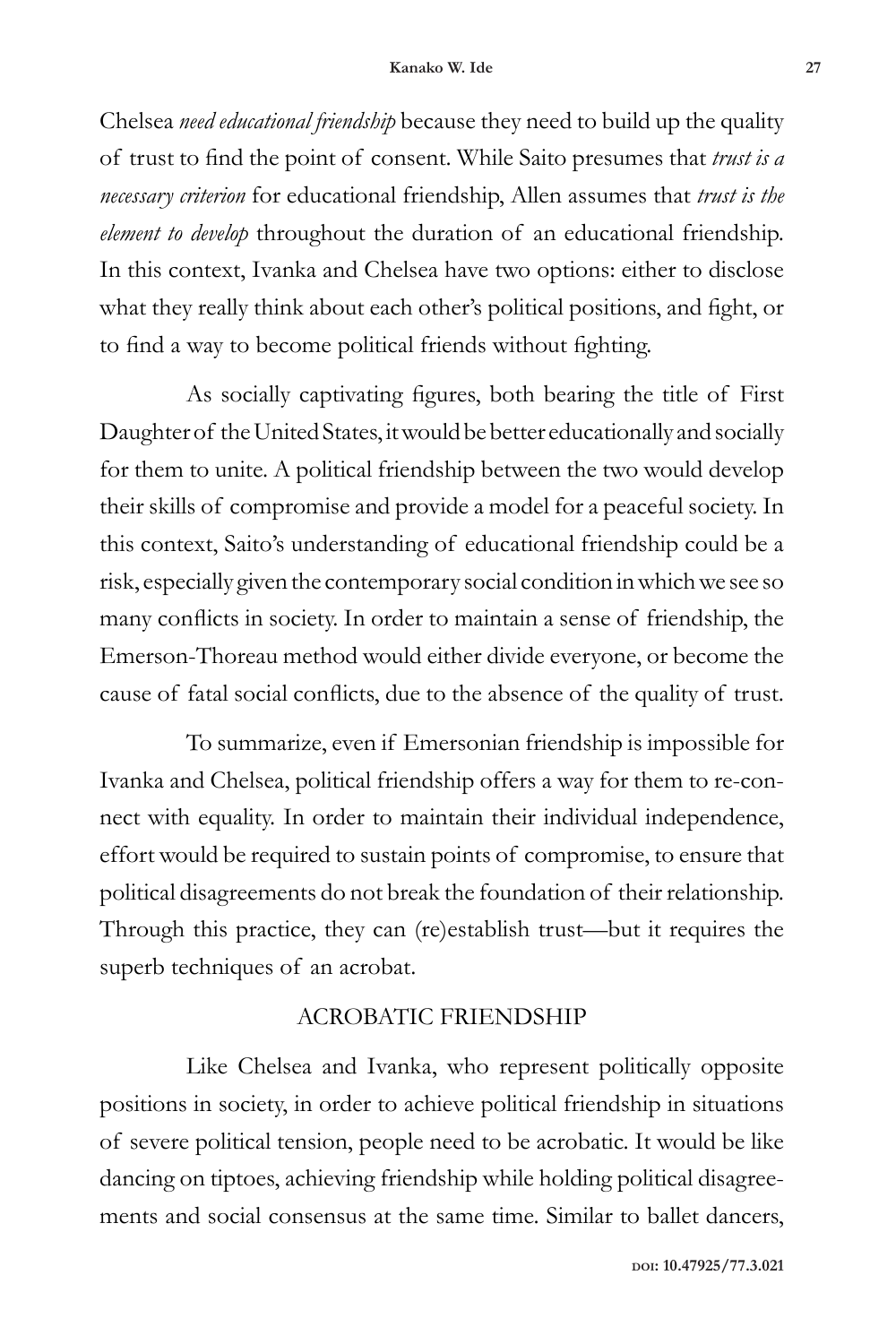Chelsea *need educational friendship* because they need to build up the quality of trust to find the point of consent. While Saito presumes that *trust is a necessary criterion* for educational friendship, Allen assumes that *trust is the element to develop* throughout the duration of an educational friendship. In this context, Ivanka and Chelsea have two options: either to disclose what they really think about each other's political positions, and fight, or to find a way to become political friends without fighting.

As socially captivating figures, both bearing the title of First Daughter of the United States, it would be better educationally and socially for them to unite. A political friendship between the two would develop their skills of compromise and provide a model for a peaceful society. In this context, Saito's understanding of educational friendship could be a risk, especially given the contemporary social condition in which we see so many conflicts in society. In order to maintain a sense of friendship, the Emerson-Thoreau method would either divide everyone, or become the cause of fatal social conflicts, due to the absence of the quality of trust.

To summarize, even if Emersonian friendship is impossible for Ivanka and Chelsea, political friendship offers a way for them to re-connect with equality. In order to maintain their individual independence, effort would be required to sustain points of compromise, to ensure that political disagreements do not break the foundation of their relationship. Through this practice, they can (re)establish trust—but it requires the superb techniques of an acrobat.

## ACROBATIC FRIENDSHIP

Like Chelsea and Ivanka, who represent politically opposite positions in society, in order to achieve political friendship in situations of severe political tension, people need to be acrobatic. It would be like dancing on tiptoes, achieving friendship while holding political disagreements and social consensus at the same time. Similar to ballet dancers,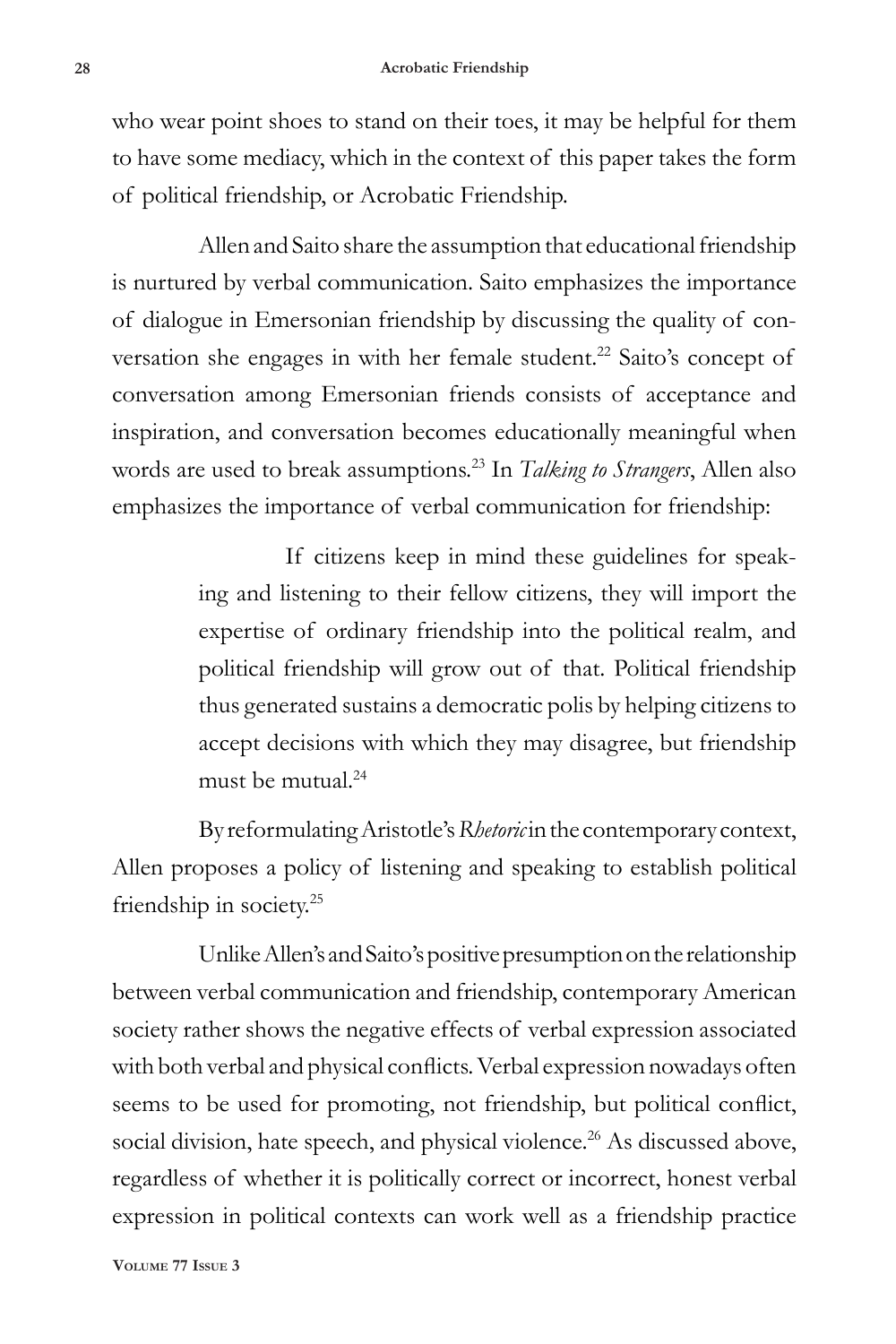who wear point shoes to stand on their toes, it may be helpful for them to have some mediacy, which in the context of this paper takes the form of political friendship, or Acrobatic Friendship.

Allen and Saito share the assumption that educational friendship is nurtured by verbal communication. Saito emphasizes the importance of dialogue in Emersonian friendship by discussing the quality of conversation she engages in with her female student.<sup>22</sup> Saito's concept of conversation among Emersonian friends consists of acceptance and inspiration, and conversation becomes educationally meaningful when words are used to break assumptions.23 In *Talking to Strangers*, Allen also emphasizes the importance of verbal communication for friendship:

> If citizens keep in mind these guidelines for speaking and listening to their fellow citizens, they will import the expertise of ordinary friendship into the political realm, and political friendship will grow out of that. Political friendship thus generated sustains a democratic polis by helping citizens to accept decisions with which they may disagree, but friendship must be mutual  $24$

By reformulating Aristotle's *Rhetoric* in the contemporary context, Allen proposes a policy of listening and speaking to establish political friendship in society.25

Unlike Allen's and Saito's positive presumption on the relationship between verbal communication and friendship, contemporary American society rather shows the negative effects of verbal expression associated with both verbal and physical conflicts. Verbal expression nowadays often seems to be used for promoting, not friendship, but political conflict, social division, hate speech, and physical violence.<sup>26</sup> As discussed above, regardless of whether it is politically correct or incorrect, honest verbal expression in political contexts can work well as a friendship practice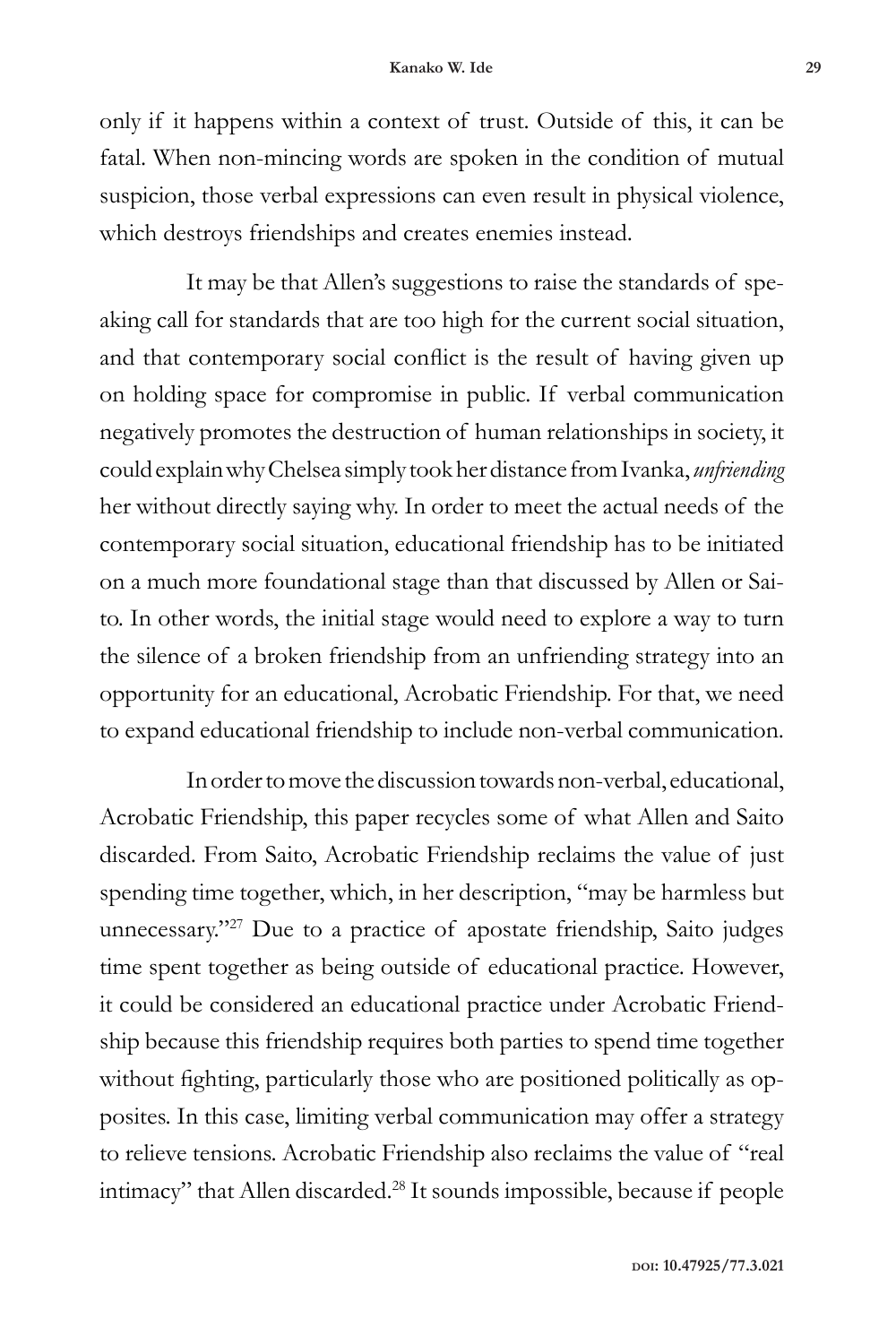only if it happens within a context of trust. Outside of this, it can be fatal. When non-mincing words are spoken in the condition of mutual suspicion, those verbal expressions can even result in physical violence, which destroys friendships and creates enemies instead.

It may be that Allen's suggestions to raise the standards of speaking call for standards that are too high for the current social situation, and that contemporary social conflict is the result of having given up on holding space for compromise in public. If verbal communication negatively promotes the destruction of human relationships in society, it could explain why Chelsea simply took her distance from Ivanka, *unfriending* her without directly saying why. In order to meet the actual needs of the contemporary social situation, educational friendship has to be initiated on a much more foundational stage than that discussed by Allen or Saito. In other words, the initial stage would need to explore a way to turn the silence of a broken friendship from an unfriending strategy into an opportunity for an educational, Acrobatic Friendship. For that, we need to expand educational friendship to include non-verbal communication.

In order to move the discussion towards non-verbal, educational, Acrobatic Friendship, this paper recycles some of what Allen and Saito discarded. From Saito, Acrobatic Friendship reclaims the value of just spending time together, which, in her description, "may be harmless but unnecessary."27 Due to a practice of apostate friendship, Saito judges time spent together as being outside of educational practice. However, it could be considered an educational practice under Acrobatic Friendship because this friendship requires both parties to spend time together without fighting, particularly those who are positioned politically as opposites. In this case, limiting verbal communication may offer a strategy to relieve tensions. Acrobatic Friendship also reclaims the value of "real intimacy" that Allen discarded.28 It sounds impossible, because if people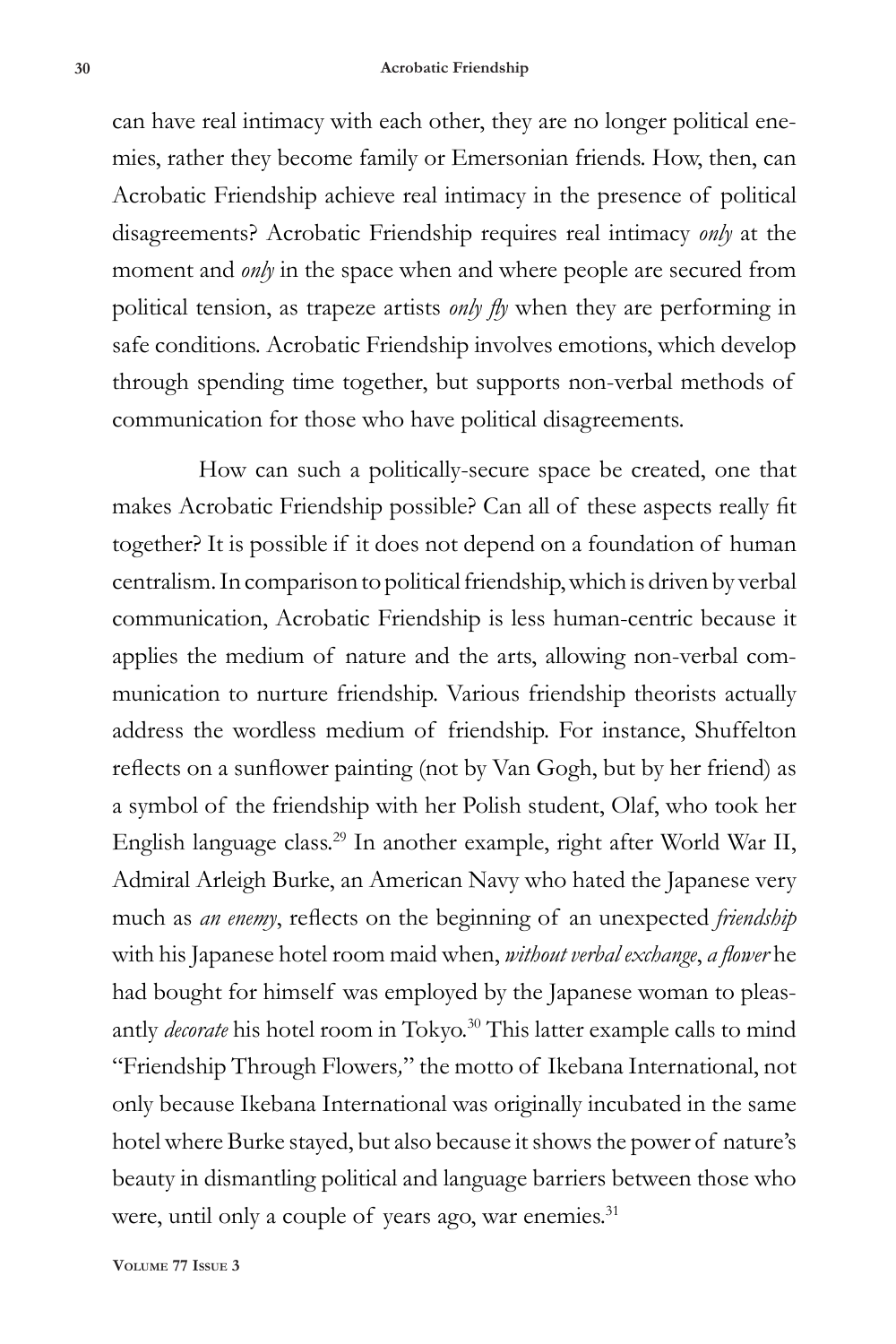can have real intimacy with each other, they are no longer political enemies, rather they become family or Emersonian friends. How, then, can Acrobatic Friendship achieve real intimacy in the presence of political disagreements? Acrobatic Friendship requires real intimacy *only* at the moment and *only* in the space when and where people are secured from political tension, as trapeze artists *only fly* when they are performing in safe conditions. Acrobatic Friendship involves emotions, which develop through spending time together, but supports non-verbal methods of communication for those who have political disagreements.

How can such a politically-secure space be created, one that makes Acrobatic Friendship possible? Can all of these aspects really fit together? It is possible if it does not depend on a foundation of human centralism. In comparison to political friendship, which is driven by verbal communication, Acrobatic Friendship is less human-centric because it applies the medium of nature and the arts, allowing non-verbal communication to nurture friendship. Various friendship theorists actually address the wordless medium of friendship. For instance, Shuffelton reflects on a sunflower painting (not by Van Gogh, but by her friend) as a symbol of the friendship with her Polish student, Olaf, who took her English language class.29 In another example, right after World War II, Admiral Arleigh Burke, an American Navy who hated the Japanese very much as *an enemy*, reflects on the beginning of an unexpected *friendship* with his Japanese hotel room maid when, *without verbal exchange*, *a flower* he had bought for himself was employed by the Japanese woman to pleasantly *decorate* his hotel room in Tokyo.<sup>30</sup> This latter example calls to mind "Friendship Through Flowers*,*" the motto of Ikebana International, not only because Ikebana International was originally incubated in the same hotel where Burke stayed, but also because it shows the power of nature's beauty in dismantling political and language barriers between those who were, until only a couple of years ago, war enemies.<sup>31</sup>

**Volume 77 Issue 3**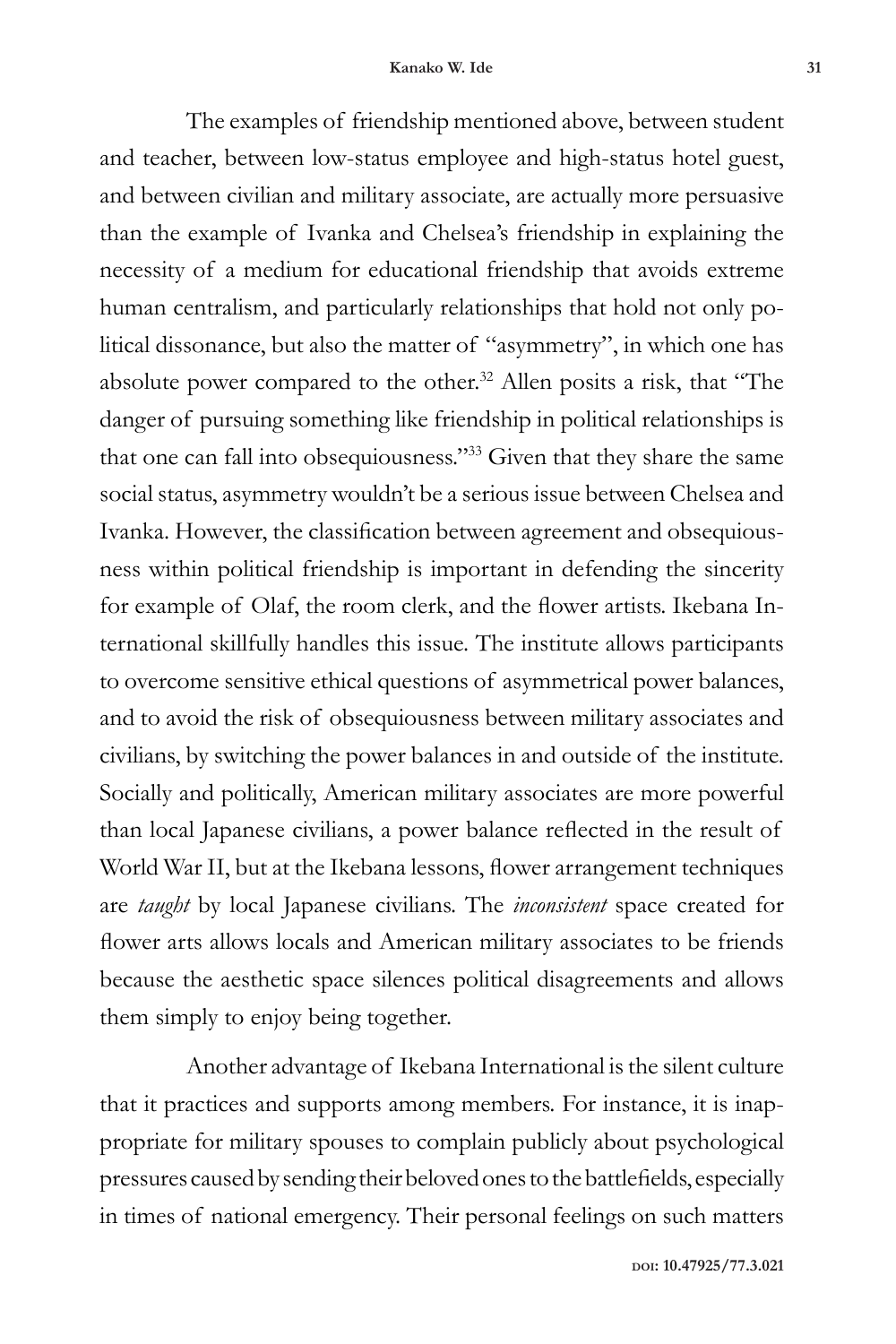The examples of friendship mentioned above, between student and teacher, between low-status employee and high-status hotel guest, and between civilian and military associate, are actually more persuasive than the example of Ivanka and Chelsea's friendship in explaining the necessity of a medium for educational friendship that avoids extreme human centralism, and particularly relationships that hold not only political dissonance, but also the matter of "asymmetry", in which one has absolute power compared to the other.32 Allen posits a risk, that "The danger of pursuing something like friendship in political relationships is that one can fall into obsequiousness."33 Given that they share the same social status, asymmetry wouldn't be a serious issue between Chelsea and Ivanka. However, the classification between agreement and obsequiousness within political friendship is important in defending the sincerity for example of Olaf, the room clerk, and the flower artists. Ikebana International skillfully handles this issue. The institute allows participants to overcome sensitive ethical questions of asymmetrical power balances, and to avoid the risk of obsequiousness between military associates and civilians, by switching the power balances in and outside of the institute. Socially and politically, American military associates are more powerful than local Japanese civilians, a power balance reflected in the result of World War II, but at the Ikebana lessons, flower arrangement techniques are *taught* by local Japanese civilians. The *inconsistent* space created for flower arts allows locals and American military associates to be friends because the aesthetic space silences political disagreements and allows them simply to enjoy being together.

Another advantage of Ikebana International is the silent culture that it practices and supports among members. For instance, it is inappropriate for military spouses to complain publicly about psychological pressures caused by sending their beloved ones to the battlefields, especially in times of national emergency. Their personal feelings on such matters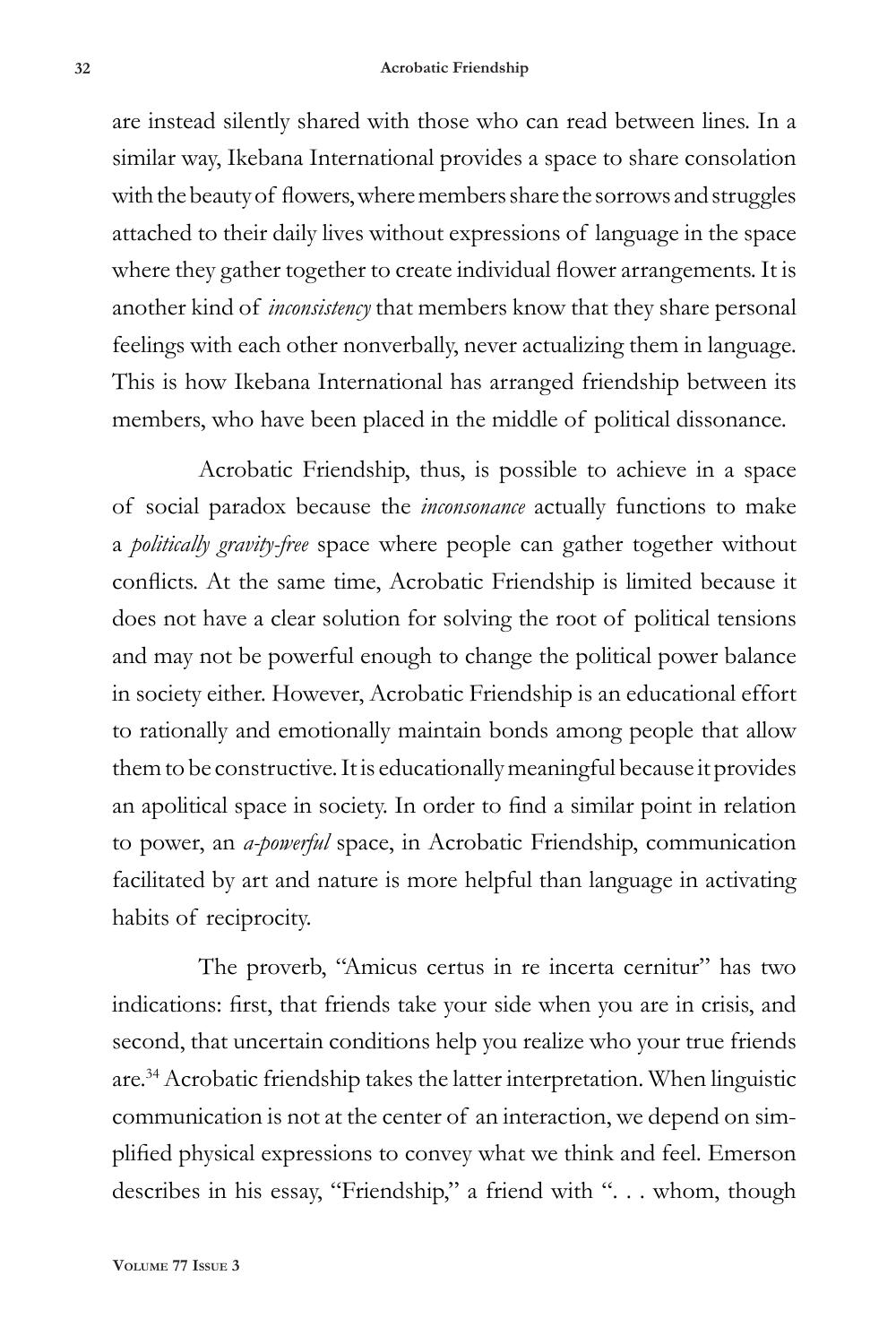#### **32 Acrobatic Friendship**

are instead silently shared with those who can read between lines. In a similar way, Ikebana International provides a space to share consolation with the beauty of flowers, where members share the sorrows and struggles attached to their daily lives without expressions of language in the space where they gather together to create individual flower arrangements. It is another kind of *inconsistency* that members know that they share personal feelings with each other nonverbally, never actualizing them in language. This is how Ikebana International has arranged friendship between its members, who have been placed in the middle of political dissonance.

Acrobatic Friendship, thus, is possible to achieve in a space of social paradox because the *inconsonance* actually functions to make a *politically gravity-free* space where people can gather together without conflicts. At the same time, Acrobatic Friendship is limited because it does not have a clear solution for solving the root of political tensions and may not be powerful enough to change the political power balance in society either. However, Acrobatic Friendship is an educational effort to rationally and emotionally maintain bonds among people that allow them to be constructive. It is educationally meaningful because it provides an apolitical space in society. In order to find a similar point in relation to power, an *a-powerful* space, in Acrobatic Friendship, communication facilitated by art and nature is more helpful than language in activating habits of reciprocity.

The proverb, "Amicus certus in re incerta cernitur" has two indications: first, that friends take your side when you are in crisis, and second, that uncertain conditions help you realize who your true friends are.34 Acrobatic friendship takes the latter interpretation. When linguistic communication is not at the center of an interaction, we depend on simplified physical expressions to convey what we think and feel. Emerson describes in his essay, "Friendship," a friend with ". . . whom, though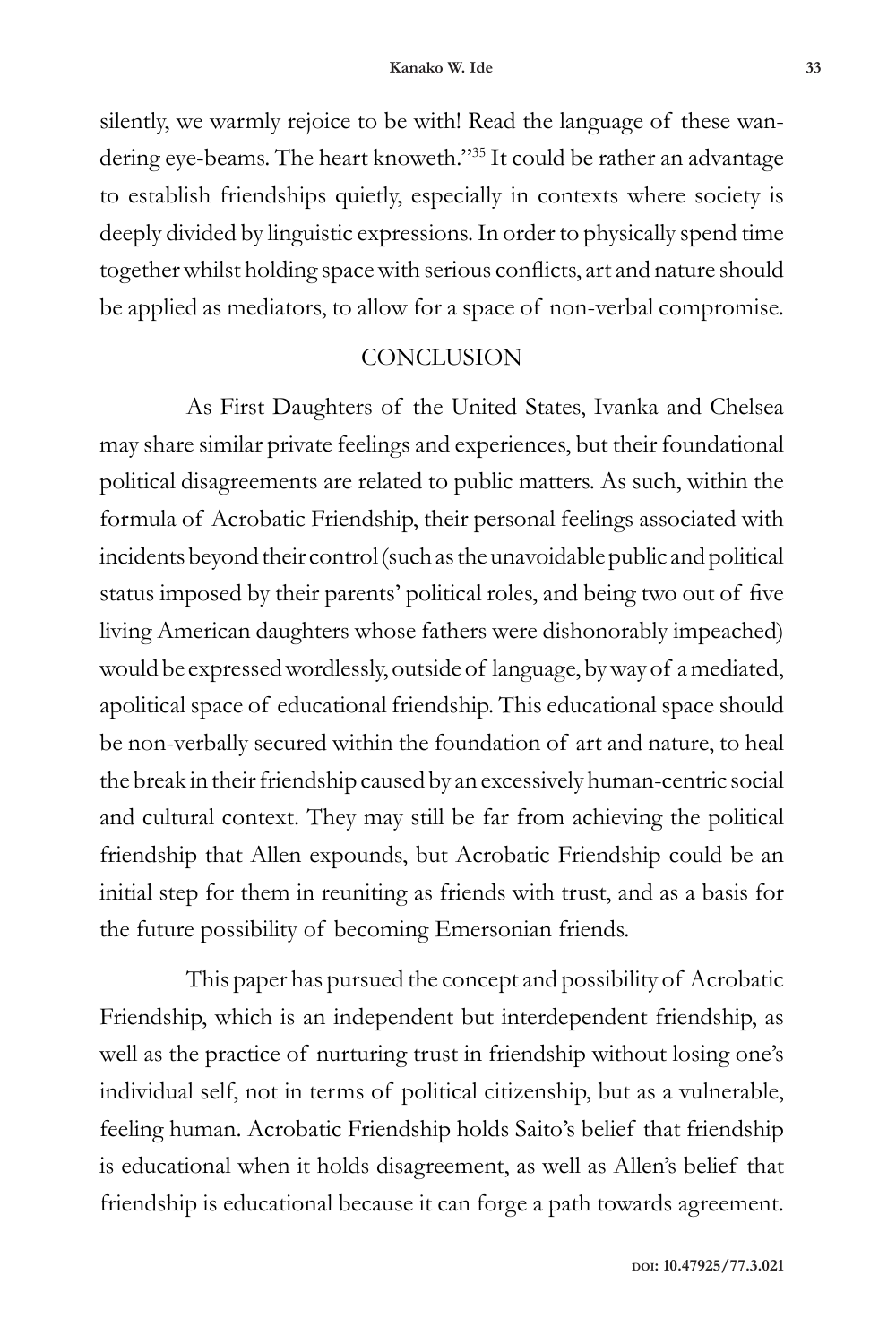silently, we warmly rejoice to be with! Read the language of these wandering eye-beams. The heart knoweth."35 It could be rather an advantage to establish friendships quietly, especially in contexts where society is deeply divided by linguistic expressions. In order to physically spend time together whilst holding space with serious conflicts, art and nature should be applied as mediators, to allow for a space of non-verbal compromise.

#### **CONCLUSION**

As First Daughters of the United States, Ivanka and Chelsea may share similar private feelings and experiences, but their foundational political disagreements are related to public matters. As such, within the formula of Acrobatic Friendship, their personal feelings associated with incidents beyond their control (such as the unavoidable public and political status imposed by their parents' political roles, and being two out of five living American daughters whose fathers were dishonorably impeached) would be expressed wordlessly, outside of language, by way of a mediated, apolitical space of educational friendship. This educational space should be non-verbally secured within the foundation of art and nature, to heal the break in their friendship caused by an excessively human-centric social and cultural context. They may still be far from achieving the political friendship that Allen expounds, but Acrobatic Friendship could be an initial step for them in reuniting as friends with trust, and as a basis for the future possibility of becoming Emersonian friends.

This paper has pursued the concept and possibility of Acrobatic Friendship, which is an independent but interdependent friendship, as well as the practice of nurturing trust in friendship without losing one's individual self, not in terms of political citizenship, but as a vulnerable, feeling human. Acrobatic Friendship holds Saito's belief that friendship is educational when it holds disagreement, as well as Allen's belief that friendship is educational because it can forge a path towards agreement.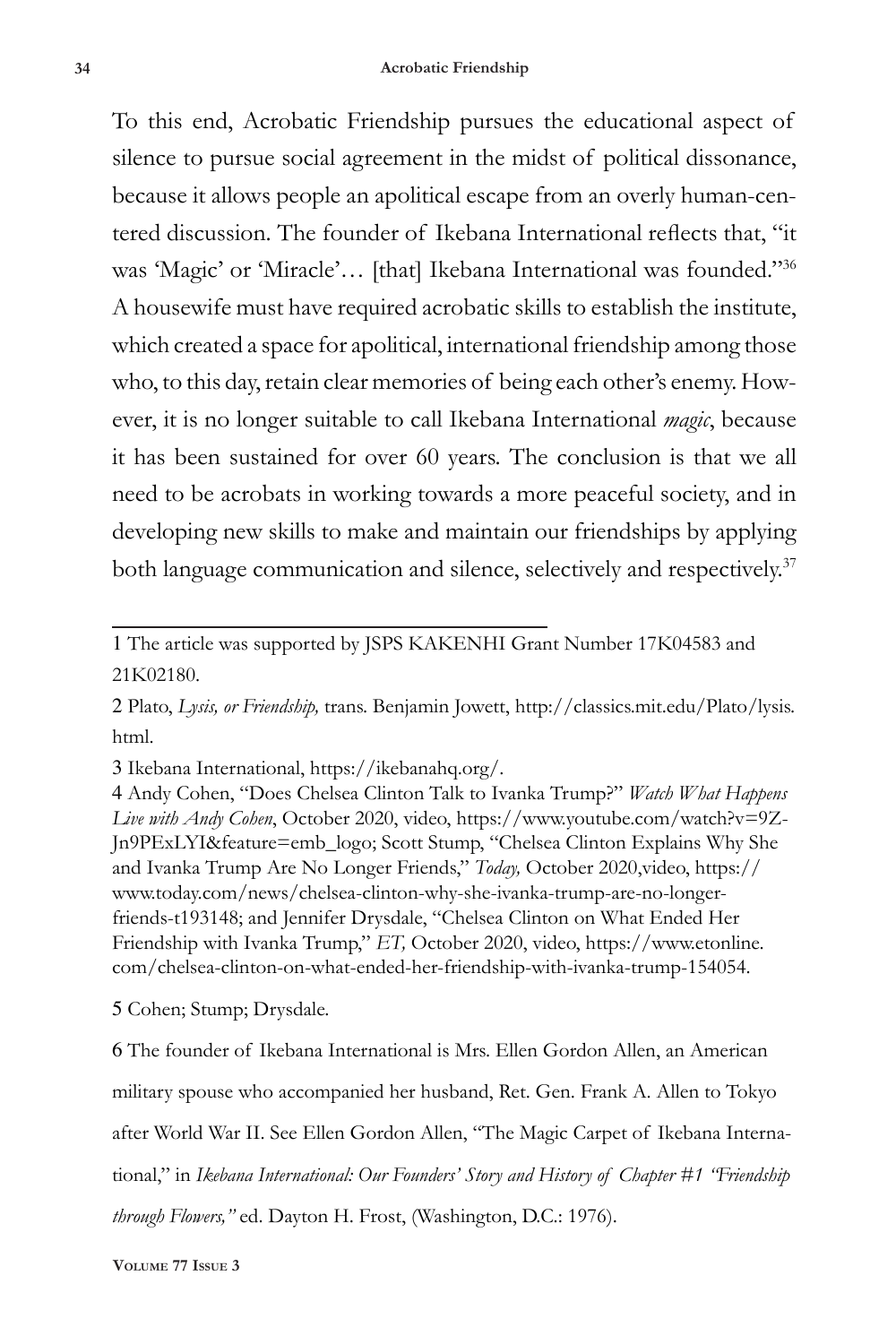To this end, Acrobatic Friendship pursues the educational aspect of silence to pursue social agreement in the midst of political dissonance, because it allows people an apolitical escape from an overly human-centered discussion. The founder of Ikebana International reflects that, "it was 'Magic' or 'Miracle'… [that] Ikebana International was founded."36 A housewife must have required acrobatic skills to establish the institute, which created a space for apolitical, international friendship among those who, to this day, retain clear memories of being each other's enemy. However, it is no longer suitable to call Ikebana International *magic*, because it has been sustained for over 60 years. The conclusion is that we all need to be acrobats in working towards a more peaceful society, and in developing new skills to make and maintain our friendships by applying both language communication and silence, selectively and respectively.<sup>37</sup>

1 The article was supported by JSPS KAKENHI Grant Number 17K04583 and 21K02180.

2 Plato, *Lysis, or Friendship,* trans. Benjamin Jowett, http://classics.mit.edu/Plato/lysis. html.

3 Ikebana International, https://ikebanahq.org/.

4 Andy Cohen, "Does Chelsea Clinton Talk to Ivanka Trump?" *Watch What Happens Live with Andy Cohen*, October 2020, video, https://www.youtube.com/watch?v=9Z-Jn9PExLYI&feature=emb\_logo; Scott Stump, "Chelsea Clinton Explains Why She and Ivanka Trump Are No Longer Friends," *Today,* October 2020,video, https:// www.today.com/news/chelsea-clinton-why-she-ivanka-trump-are-no-longerfriends-t193148; and Jennifer Drysdale, "Chelsea Clinton on What Ended Her Friendship with Ivanka Trump," *ET,* October 2020, video, https://www.etonline. com/chelsea-clinton-on-what-ended-her-friendship-with-ivanka-trump-154054.

5 Cohen; Stump; Drysdale.

6 The founder of Ikebana International is Mrs. Ellen Gordon Allen, an American military spouse who accompanied her husband, Ret. Gen. Frank A. Allen to Tokyo after World War II. See Ellen Gordon Allen, "The Magic Carpet of Ikebana International," in *Ikebana International: Our Founders' Story and History of Chapter #1 "Friendship through Flowers,"* ed. Dayton H. Frost, (Washington, D.C.: 1976).

**Volume 77 Issue 3**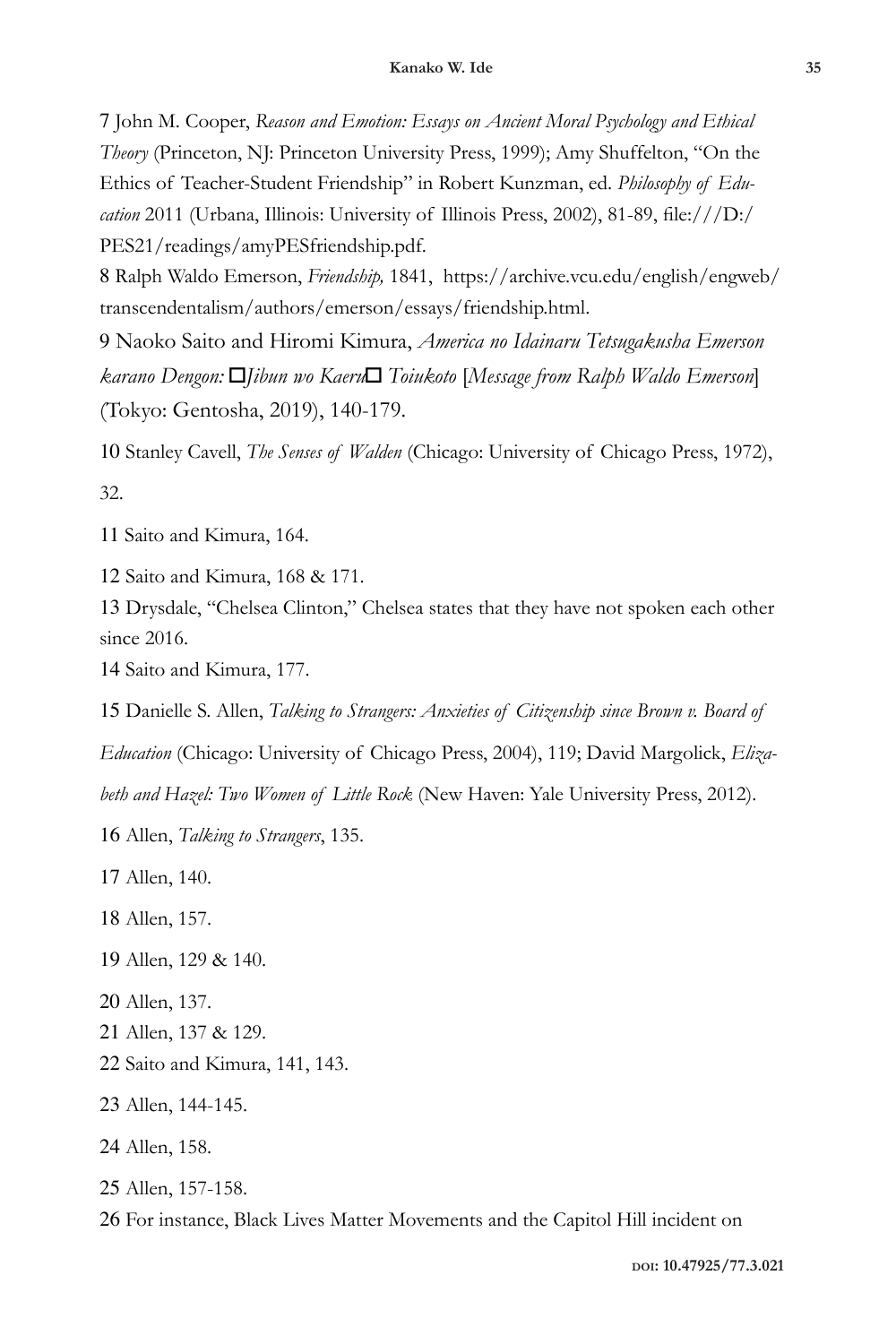John M. Cooper, *Reason and Emotion: Essays on Ancient Moral Psychology and Ethical Theory* (Princeton, NJ: Princeton University Press, 1999); Amy Shuffelton, "On the Ethics of Teacher-Student Friendship" in Robert Kunzman, ed. *Philosophy of Education* 2011 (Urbana, Illinois: University of Illinois Press, 2002), 81-89, file:///D:/ PES21/readings/amyPESfriendship.pdf.

 Ralph Waldo Emerson, *Friendship,* 1841, https://archive.vcu.edu/english/engweb/ transcendentalism/authors/emerson/essays/friendship.html.

 Naoko Saito and Hiromi Kimura, *America no Idainaru Tetsugakusha Emerson karano Dengon:* 「*Jibun wo Kaeru*」 *Toiukoto* [*Message from Ralph Waldo Emerson*] (Tokyo: Gentosha, 2019), 140-179.

 Stanley Cavell, *The Senses of Walden* (Chicago: University of Chicago Press, 1972), 32.

Saito and Kimura, 164.

Saito and Kimura, 168 & 171.

 Drysdale, "Chelsea Clinton," Chelsea states that they have not spoken each other since 2016.

Saito and Kimura, 177.

Danielle S. Allen, *Talking to Strangers: Anxieties of Citizenship since Brown v. Board of* 

*Education* (Chicago: University of Chicago Press, 2004), 119; David Margolick, *Eliza-*

*beth and Hazel: Two Women of Little Rock* (New Haven: Yale University Press, 2012).

Allen, *Talking to Strangers*, 135.

Allen, 140.

Allen, 157.

Allen, 129 & 140.

Allen, 137.

Allen, 137 & 129.

Saito and Kimura, 141, 143.

Allen, 144-145.

Allen, 158.

Allen, 157-158.

For instance, Black Lives Matter Movements and the Capitol Hill incident on